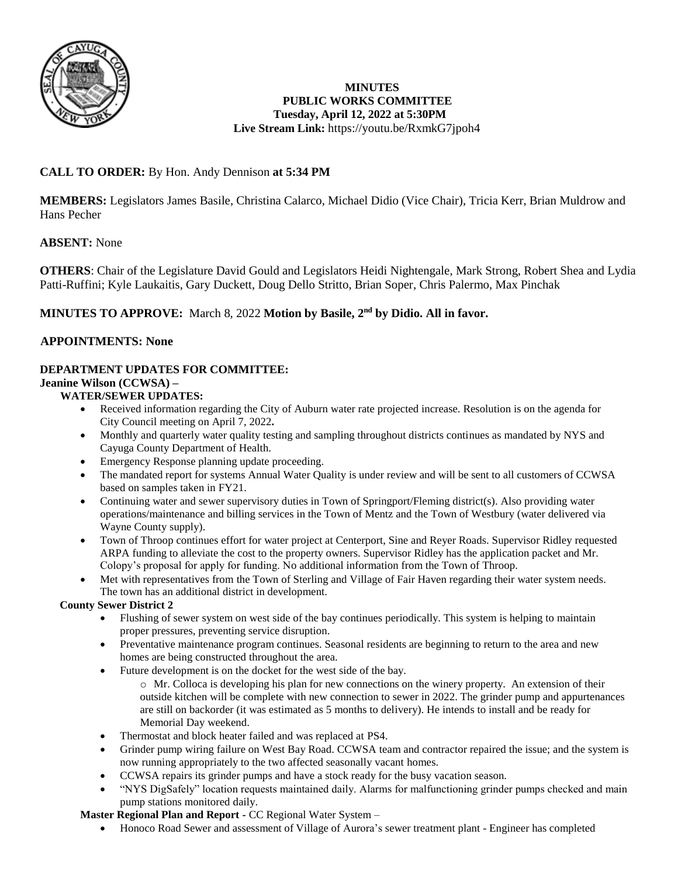

# **MINUTES PUBLIC WORKS COMMITTEE Tuesday, April 12, 2022 at 5:30PM Live Stream Link:** <https://youtu.be/RxmkG7jpoh4>

# **CALL TO ORDER:** By Hon. Andy Dennison **at 5:34 PM**

**MEMBERS:** Legislators James Basile, Christina Calarco, Michael Didio (Vice Chair), Tricia Kerr, Brian Muldrow and Hans Pecher

# **ABSENT:** None

**OTHERS**: Chair of the Legislature David Gould and Legislators Heidi Nightengale, Mark Strong, Robert Shea and Lydia Patti-Ruffini; Kyle Laukaitis, Gary Duckett, Doug Dello Stritto, Brian Soper, Chris Palermo, Max Pinchak

# **MINUTES TO APPROVE:** March 8, 2022 **Motion by Basile, 2nd by Didio. All in favor.**

# **APPOINTMENTS: None**

# **DEPARTMENT UPDATES FOR COMMITTEE:**

# **Jeanine Wilson (CCWSA) –**

# **WATER/SEWER UPDATES:**

- Received information regarding the City of Auburn water rate projected increase. Resolution is on the agenda for City Council meeting on April 7, 2022**.**
- Monthly and quarterly water quality testing and sampling throughout districts continues as mandated by NYS and Cayuga County Department of Health.
- Emergency Response planning update proceeding.
- The mandated report for systems Annual Water Quality is under review and will be sent to all customers of CCWSA based on samples taken in FY21.
- Continuing water and sewer supervisory duties in Town of Springport/Fleming district(s). Also providing water operations/maintenance and billing services in the Town of Mentz and the Town of Westbury (water delivered via Wayne County supply).
- Town of Throop continues effort for water project at Centerport, Sine and Reyer Roads. Supervisor Ridley requested ARPA funding to alleviate the cost to the property owners. Supervisor Ridley has the application packet and Mr. Colopy's proposal for apply for funding. No additional information from the Town of Throop.
- Met with representatives from the Town of Sterling and Village of Fair Haven regarding their water system needs. The town has an additional district in development.

# **County Sewer District 2**

- Flushing of sewer system on west side of the bay continues periodically. This system is helping to maintain proper pressures, preventing service disruption.
- Preventative maintenance program continues. Seasonal residents are beginning to return to the area and new homes are being constructed throughout the area.
- Future development is on the docket for the west side of the bay.
	- o Mr. Colloca is developing his plan for new connections on the winery property. An extension of their outside kitchen will be complete with new connection to sewer in 2022. The grinder pump and appurtenances are still on backorder (it was estimated as 5 months to delivery). He intends to install and be ready for Memorial Day weekend.
- Thermostat and block heater failed and was replaced at PS4.
- Grinder pump wiring failure on West Bay Road. CCWSA team and contractor repaired the issue; and the system is now running appropriately to the two affected seasonally vacant homes.
- CCWSA repairs its grinder pumps and have a stock ready for the busy vacation season.
- "NYS DigSafely" location requests maintained daily. Alarms for malfunctioning grinder pumps checked and main pump stations monitored daily.

#### **Master Regional Plan and Report -** CC Regional Water System –

Honoco Road Sewer and assessment of Village of Aurora's sewer treatment plant - Engineer has completed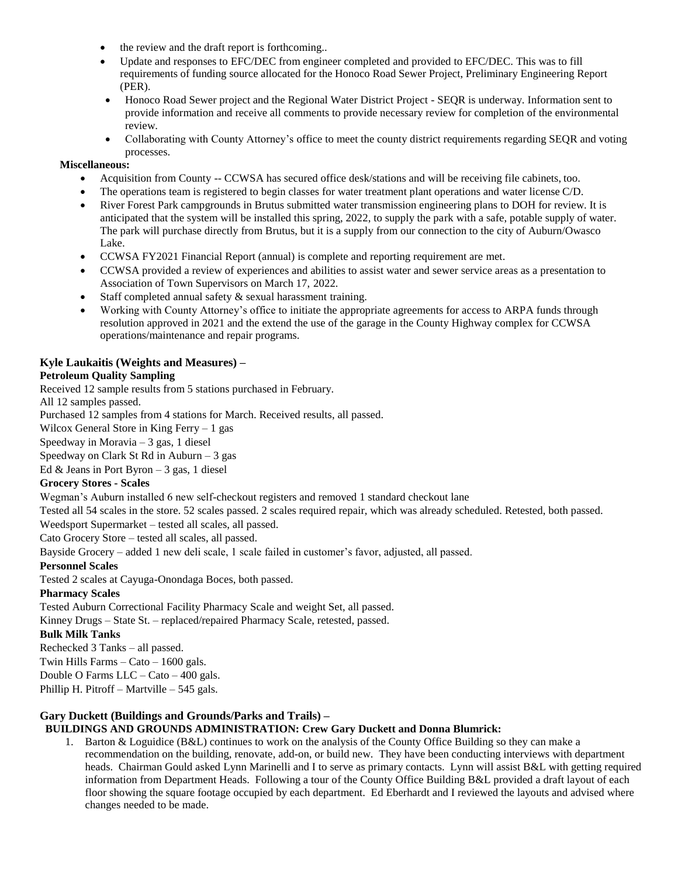- the review and the draft report is forthcoming..
- Update and responses to EFC/DEC from engineer completed and provided to EFC/DEC. This was to fill requirements of funding source allocated for the Honoco Road Sewer Project, Preliminary Engineering Report (PER).
- Honoco Road Sewer project and the Regional Water District Project SEQR is underway. Information sent to provide information and receive all comments to provide necessary review for completion of the environmental review.
- Collaborating with County Attorney's office to meet the county district requirements regarding SEQR and voting processes.

#### **Miscellaneous:**

- Acquisition from County -- CCWSA has secured office desk/stations and will be receiving file cabinets, too.
- The operations team is registered to begin classes for water treatment plant operations and water license C/D.
- River Forest Park campgrounds in Brutus submitted water transmission engineering plans to DOH for review. It is anticipated that the system will be installed this spring, 2022, to supply the park with a safe, potable supply of water. The park will purchase directly from Brutus, but it is a supply from our connection to the city of Auburn/Owasco Lake.
- CCWSA FY2021 Financial Report (annual) is complete and reporting requirement are met.
- CCWSA provided a review of experiences and abilities to assist water and sewer service areas as a presentation to Association of Town Supervisors on March 17, 2022.
- Staff completed annual safety & sexual harassment training.
- Working with County Attorney's office to initiate the appropriate agreements for access to ARPA funds through resolution approved in 2021 and the extend the use of the garage in the County Highway complex for CCWSA operations/maintenance and repair programs.

# **Kyle Laukaitis (Weights and Measures) –**

#### **Petroleum Quality Sampling**

Received 12 sample results from 5 stations purchased in February.

All 12 samples passed.

Purchased 12 samples from 4 stations for March. Received results, all passed.

Wilcox General Store in King Ferry  $-1$  gas

Speedway in Moravia – 3 gas, 1 diesel

Speedway on Clark St Rd in Auburn  $-3$  gas

Ed & Jeans in Port Byron – 3 gas, 1 diesel

#### **Grocery Stores - Scales**

Wegman's Auburn installed 6 new self-checkout registers and removed 1 standard checkout lane

Tested all 54 scales in the store. 52 scales passed. 2 scales required repair, which was already scheduled. Retested, both passed.

Weedsport Supermarket – tested all scales, all passed.

Cato Grocery Store – tested all scales, all passed.

Bayside Grocery – added 1 new deli scale, 1 scale failed in customer's favor, adjusted, all passed.

#### **Personnel Scales**

Tested 2 scales at Cayuga-Onondaga Boces, both passed.

# **Pharmacy Scales**

Tested Auburn Correctional Facility Pharmacy Scale and weight Set, all passed.

Kinney Drugs – State St. – replaced/repaired Pharmacy Scale, retested, passed.

#### **Bulk Milk Tanks**

Rechecked 3 Tanks – all passed.

Twin Hills Farms  $-$  Cato  $-1600$  gals.

Double O Farms LLC – Cato – 400 gals.

Phillip H. Pitroff – Martville – 545 gals.

# **Gary Duckett (Buildings and Grounds/Parks and Trails) –**

# **BUILDINGS AND GROUNDS ADMINISTRATION: Crew Gary Duckett and Donna Blumrick:**

1. Barton & Loguidice (B&L) continues to work on the analysis of the County Office Building so they can make a recommendation on the building, renovate, add-on, or build new. They have been conducting interviews with department heads. Chairman Gould asked Lynn Marinelli and I to serve as primary contacts. Lynn will assist B&L with getting required information from Department Heads. Following a tour of the County Office Building B&L provided a draft layout of each floor showing the square footage occupied by each department. Ed Eberhardt and I reviewed the layouts and advised where changes needed to be made.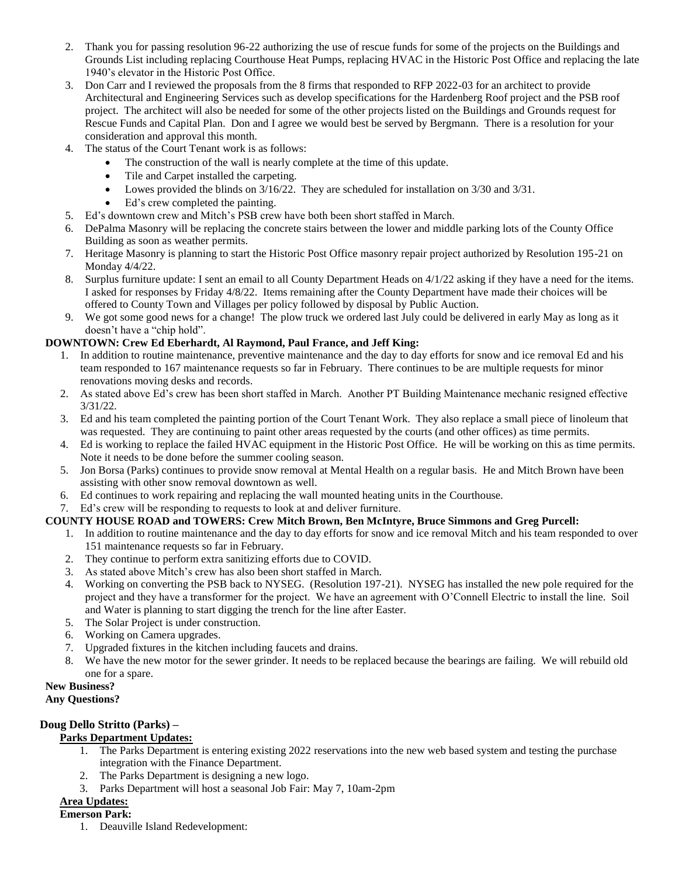- 2. Thank you for passing resolution 96-22 authorizing the use of rescue funds for some of the projects on the Buildings and Grounds List including replacing Courthouse Heat Pumps, replacing HVAC in the Historic Post Office and replacing the late 1940's elevator in the Historic Post Office.
- 3. Don Carr and I reviewed the proposals from the 8 firms that responded to RFP 2022-03 for an architect to provide Architectural and Engineering Services such as develop specifications for the Hardenberg Roof project and the PSB roof project. The architect will also be needed for some of the other projects listed on the Buildings and Grounds request for Rescue Funds and Capital Plan. Don and I agree we would best be served by Bergmann. There is a resolution for your consideration and approval this month.
- 4. The status of the Court Tenant work is as follows:
	- The construction of the wall is nearly complete at the time of this update.
	- Tile and Carpet installed the carpeting.
	- Lowes provided the blinds on  $3/16/22$ . They are scheduled for installation on  $3/30$  and  $3/31$ .
	- Ed's crew completed the painting.
- 5. Ed's downtown crew and Mitch's PSB crew have both been short staffed in March.
- 6. DePalma Masonry will be replacing the concrete stairs between the lower and middle parking lots of the County Office Building as soon as weather permits.
- 7. Heritage Masonry is planning to start the Historic Post Office masonry repair project authorized by Resolution 195-21 on Monday 4/4/22.
- 8. Surplus furniture update: I sent an email to all County Department Heads on 4/1/22 asking if they have a need for the items. I asked for responses by Friday 4/8/22. Items remaining after the County Department have made their choices will be offered to County Town and Villages per policy followed by disposal by Public Auction.
- 9. We got some good news for a change! The plow truck we ordered last July could be delivered in early May as long as it doesn't have a "chip hold".

#### **DOWNTOWN: Crew Ed Eberhardt, Al Raymond, Paul France, and Jeff King:**

- 1. In addition to routine maintenance, preventive maintenance and the day to day efforts for snow and ice removal Ed and his team responded to 167 maintenance requests so far in February. There continues to be are multiple requests for minor renovations moving desks and records.
- 2. As stated above Ed's crew has been short staffed in March. Another PT Building Maintenance mechanic resigned effective 3/31/22.
- 3. Ed and his team completed the painting portion of the Court Tenant Work. They also replace a small piece of linoleum that was requested. They are continuing to paint other areas requested by the courts (and other offices) as time permits.
- 4. Ed is working to replace the failed HVAC equipment in the Historic Post Office. He will be working on this as time permits. Note it needs to be done before the summer cooling season.
- 5. Jon Borsa (Parks) continues to provide snow removal at Mental Health on a regular basis. He and Mitch Brown have been assisting with other snow removal downtown as well.
- 6. Ed continues to work repairing and replacing the wall mounted heating units in the Courthouse.

#### 7. Ed's crew will be responding to requests to look at and deliver furniture.

# **COUNTY HOUSE ROAD and TOWERS: Crew Mitch Brown, Ben McIntyre, Bruce Simmons and Greg Purcell:**

- 1. In addition to routine maintenance and the day to day efforts for snow and ice removal Mitch and his team responded to over 151 maintenance requests so far in February.
- 2. They continue to perform extra sanitizing efforts due to COVID.
- 3. As stated above Mitch's crew has also been short staffed in March.
- 4. Working on converting the PSB back to NYSEG. (Resolution 197-21). NYSEG has installed the new pole required for the project and they have a transformer for the project. We have an agreement with O'Connell Electric to install the line. Soil and Water is planning to start digging the trench for the line after Easter.
- 5. The Solar Project is under construction.
- 6. Working on Camera upgrades.
- 7. Upgraded fixtures in the kitchen including faucets and drains.
- 8. We have the new motor for the sewer grinder. It needs to be replaced because the bearings are failing. We will rebuild old one for a spare.

#### **New Business?**

#### **Any Questions?**

# **Doug Dello Stritto (Parks) –**

# **Parks Department Updates:**

- 1. The Parks Department is entering existing 2022 reservations into the new web based system and testing the purchase integration with the Finance Department.
- 2. The Parks Department is designing a new logo.
- 3. Parks Department will host a seasonal Job Fair: May 7, 10am-2pm

# **Area Updates:**

- **Emerson Park:**
	- 1. Deauville Island Redevelopment: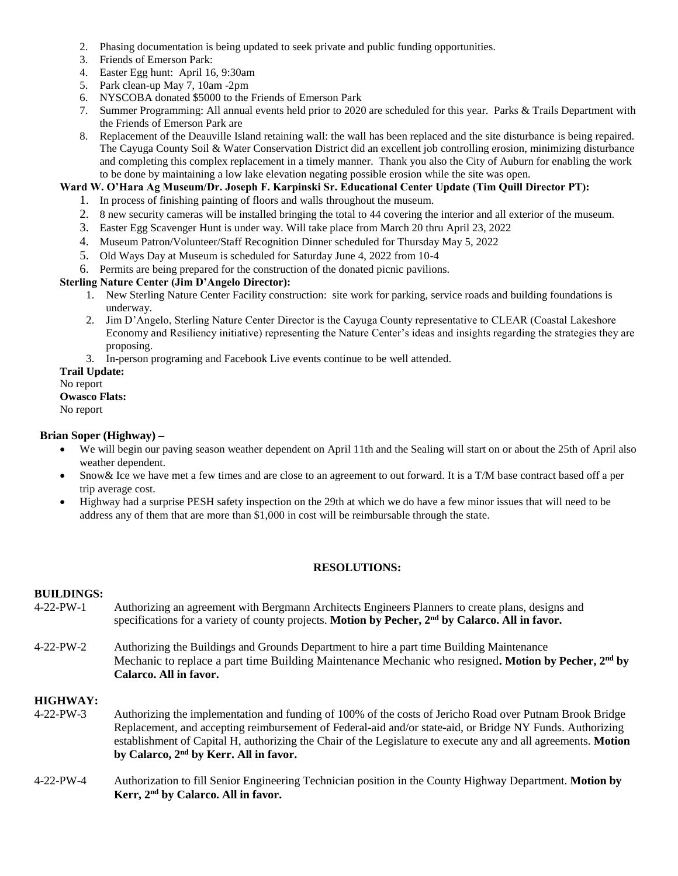- 2. Phasing documentation is being updated to seek private and public funding opportunities.
- 3. Friends of Emerson Park:
- 4. Easter Egg hunt: April 16, 9:30am
- 5. Park clean-up May 7, 10am -2pm
- 6. NYSCOBA donated \$5000 to the Friends of Emerson Park
- 7. Summer Programming: All annual events held prior to 2020 are scheduled for this year. Parks & Trails Department with the Friends of Emerson Park are
- 8. Replacement of the Deauville Island retaining wall: the wall has been replaced and the site disturbance is being repaired. The Cayuga County Soil & Water Conservation District did an excellent job controlling erosion, minimizing disturbance and completing this complex replacement in a timely manner. Thank you also the City of Auburn for enabling the work to be done by maintaining a low lake elevation negating possible erosion while the site was open.

### **Ward W. O'Hara Ag Museum/Dr. Joseph F. Karpinski Sr. Educational Center Update (Tim Quill Director PT):**

- 1. In process of finishing painting of floors and walls throughout the museum.
- 2. 8 new security cameras will be installed bringing the total to 44 covering the interior and all exterior of the museum.
- 3. Easter Egg Scavenger Hunt is under way. Will take place from March 20 thru April 23, 2022
- 4. Museum Patron/Volunteer/Staff Recognition Dinner scheduled for Thursday May 5, 2022
- 5. Old Ways Day at Museum is scheduled for Saturday June 4, 2022 from 10-4
- 6. Permits are being prepared for the construction of the donated picnic pavilions.

#### **Sterling Nature Center (Jim D'Angelo Director):**

- 1. New Sterling Nature Center Facility construction: site work for parking, service roads and building foundations is underway.
- 2. Jim D'Angelo, Sterling Nature Center Director is the Cayuga County representative to CLEAR (Coastal Lakeshore Economy and Resiliency initiative) representing the Nature Center's ideas and insights regarding the strategies they are proposing.
- 3. In-person programing and Facebook Live events continue to be well attended.

### **Trail Update:**

No report

**Owasco Flats:** 

No report

#### **Brian Soper (Highway) –**

- We will begin our paving season weather dependent on April 11th and the Sealing will start on or about the 25th of April also weather dependent.
- Snow& Ice we have met a few times and are close to an agreement to out forward. It is a T/M base contract based off a per trip average cost.
- Highway had a surprise PESH safety inspection on the 29th at which we do have a few minor issues that will need to be address any of them that are more than \$1,000 in cost will be reimbursable through the state.

# **RESOLUTIONS:**

# **BUILDINGS:**

- 4-22-PW-1 Authorizing an agreement with Bergmann Architects Engineers Planners to create plans, designs and specifications for a variety of county projects. **Motion by Pecher, 2nd by Calarco. All in favor.**
- 4-22-PW-2 Authorizing the Buildings and Grounds Department to hire a part time Building Maintenance Mechanic to replace a part time Building Maintenance Mechanic who resigned**. Motion by Pecher, 2nd by Calarco. All in favor.**

# **HIGHWAY:**

- 4-22-PW-3 Authorizing the implementation and funding of 100% of the costs of Jericho Road over Putnam Brook Bridge Replacement, and accepting reimbursement of Federal-aid and/or state-aid, or Bridge NY Funds. Authorizing establishment of Capital H, authorizing the Chair of the Legislature to execute any and all agreements. **Motion by Calarco, 2nd by Kerr. All in favor.**
- 4-22-PW-4 Authorization to fill Senior Engineering Technician position in the County Highway Department. **Motion by Kerr, 2nd by Calarco. All in favor.**